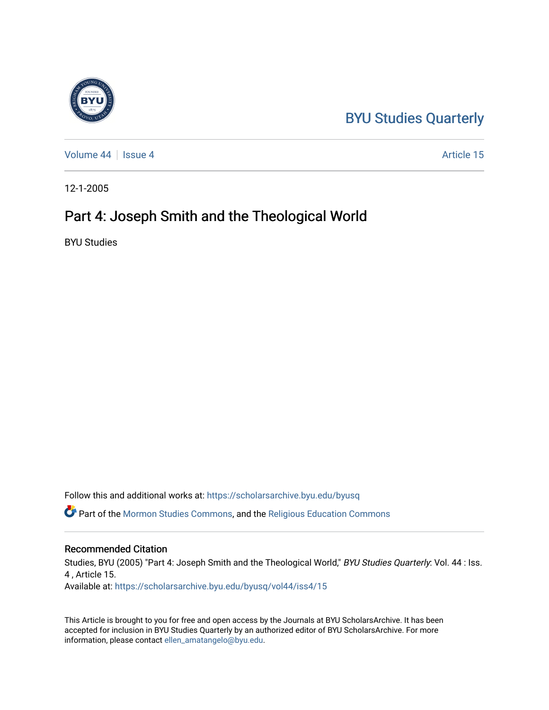## [BYU Studies Quarterly](https://scholarsarchive.byu.edu/byusq)

[Volume 44](https://scholarsarchive.byu.edu/byusq/vol44) | [Issue 4](https://scholarsarchive.byu.edu/byusq/vol44/iss4) Article 15

12-1-2005

# Part 4: Joseph Smith and the Theological World

BYU Studies

Follow this and additional works at: [https://scholarsarchive.byu.edu/byusq](https://scholarsarchive.byu.edu/byusq?utm_source=scholarsarchive.byu.edu%2Fbyusq%2Fvol44%2Fiss4%2F15&utm_medium=PDF&utm_campaign=PDFCoverPages) 

Part of the [Mormon Studies Commons](http://network.bepress.com/hgg/discipline/1360?utm_source=scholarsarchive.byu.edu%2Fbyusq%2Fvol44%2Fiss4%2F15&utm_medium=PDF&utm_campaign=PDFCoverPages), and the [Religious Education Commons](http://network.bepress.com/hgg/discipline/1414?utm_source=scholarsarchive.byu.edu%2Fbyusq%2Fvol44%2Fiss4%2F15&utm_medium=PDF&utm_campaign=PDFCoverPages) 

#### Recommended Citation

Studies, BYU (2005) "Part 4: Joseph Smith and the Theological World," BYU Studies Quarterly: Vol. 44 : Iss. 4 , Article 15. Available at: [https://scholarsarchive.byu.edu/byusq/vol44/iss4/15](https://scholarsarchive.byu.edu/byusq/vol44/iss4/15?utm_source=scholarsarchive.byu.edu%2Fbyusq%2Fvol44%2Fiss4%2F15&utm_medium=PDF&utm_campaign=PDFCoverPages) 

This Article is brought to you for free and open access by the Journals at BYU ScholarsArchive. It has been accepted for inclusion in BYU Studies Quarterly by an authorized editor of BYU ScholarsArchive. For more information, please contact [ellen\\_amatangelo@byu.edu.](mailto:ellen_amatangelo@byu.edu)